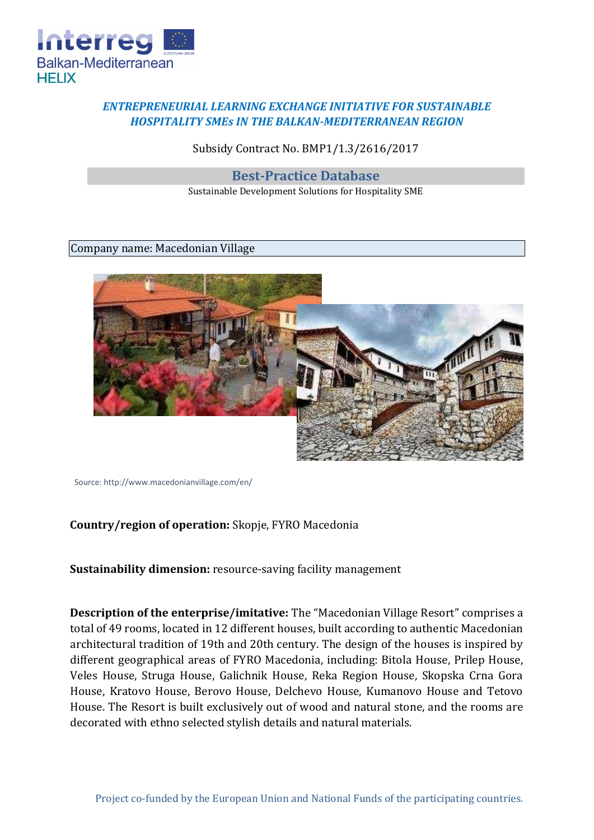

## *ENTREPRENEURIAL LEARNING EXCHANGE INITIATIVE FOR SUSTAINABLE HOSPITALITY SMEs IN THE BALKAN-MEDITERRANEAN REGION*

Subsidy Contract No. BMP1/1.3/2616/2017

**Best-Practice Database** 

Sustainable Development Solutions for Hospitality SME

## Company name: Macedonian Village



Sourc[e: http://www.macedonianvillage.com/en/](http://www.macedonianvillage.com/en/)

## **Country/region of operation:** Skopje, FYRO Macedonia

**Sustainability dimension:** resource-saving facility management

**Description of the enterprise/imitative:** The "Macedonian Village Resort" comprises a total of 49 rooms, located in 12 different houses, built according to authentic Macedonian architectural tradition of 19th and 20th century. The design of the houses is inspired by different geographical areas of FYRO Macedonia, including: Bitola House, Prilep House, Veles House, Struga House, Galichnik House, Reka Region House, Skopska Crna Gora House, Kratovo House, Berovo House, Delchevo House, Kumanovo House and Tetovo House. The Resort is built exclusively out of wood and natural stone, and the rooms are decorated with ethno selected stylish details and natural materials.